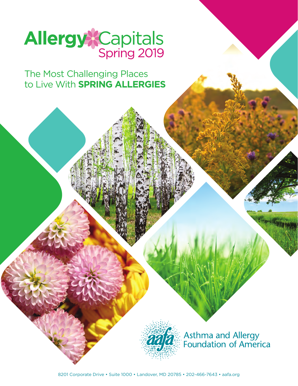

The Most Challenging Places to Live With **SPRING ALLERGIES**



Asthma and Allergy<br>Foundation of America

8201 Corporate Drive • Suite 1000 • Landover, MD 20785 • 202-466-7643 • [aafa.org](http://aafa.org)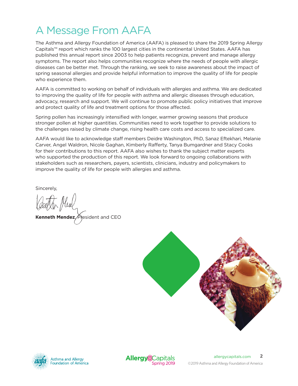# A Message From AAFA

The Asthma and Allergy Foundation of America (AAFA) is pleased to share the 2019 Spring Allergy Capitals™ report which ranks the 100 largest cities in the continental United States. AAFA has published this annual report since 2003 to help patients recognize, prevent and manage allergy symptoms. The report also helps communities recognize where the needs of people with allergic diseases can be better met. Through the ranking, we seek to raise awareness about the impact of spring seasonal allergies and provide helpful information to improve the quality of life for people who experience them.

AAFA is committed to working on behalf of individuals with allergies and asthma. We are dedicated to improving the quality of life for people with asthma and allergic diseases through education, advocacy, research and support. We will continue to promote public policy initiatives that improve and protect quality of life and treatment options for those affected.

Spring pollen has increasingly intensified with longer, warmer growing seasons that produce stronger pollen at higher quantities. Communities need to work together to provide solutions to the challenges raised by climate change, rising health care costs and access to specialized care.

AAFA would like to acknowledge staff members Deidre Washington, PhD, Sanaz Eftekhari, Melanie Carver, Angel Waldron, Nicole Gaghan, Kimberly Rafferty, Tanya Bumgardner and Stacy Cooks for their contributions to this report. AAFA also wishes to thank the subject matter experts who supported the production of this report. We look forward to ongoing collaborations with stakeholders such as researchers, payers, scientists, clinicians, industry and policymakers to improve the quality of life for people with allergies and asthma.

Sincerely,

**Kenneth Mendez**, President and CEO





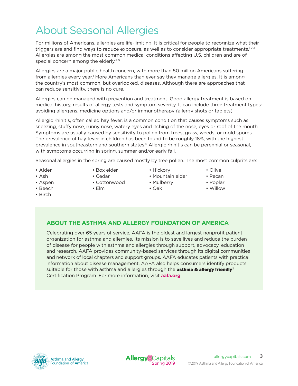# About Seasonal Allergies

For millions of Americans, allergies are life-limiting. It is critical for people to recognize what their triggers are and find ways to reduce exposure, as well as to consider appropriate treatments.<sup>123</sup> Allergies are among the most common medical conditions affecting U.S. children and are of special concern among the elderly.<sup>45</sup>

Allergies are a major public health concern, with more than 50 million Americans suffering from allergies every year.<sup>1</sup> More Americans than ever say they manage allergies. It is among the country's most common, but overlooked, diseases. Although there are approaches that can reduce sensitivity, there is no cure.

Allergies can be managed with prevention and treatment. Good allergy treatment is based on medical history, results of allergy tests and symptom severity. It can include three treatment types: avoiding allergens, medicine options and/or immunotherapy (allergy shots or tablets).

Allergic rhinitis, often called hay fever, is a common condition that causes symptoms such as sneezing, stuffy nose, runny nose, watery eyes and itching of the nose, eyes or roof of the mouth. Symptoms are usually caused by sensitivity to pollen from trees, grass, weeds; or mold spores. The prevalence of hay fever in children has been found to be roughly 18%, with the highest prevalence in southeastern and southern states.<sup>6</sup> Allergic rhinitis can be perennial or seasonal, with symptoms occurring in spring, summer and/or early fall.

Seasonal allergies in the spring are caused mostly by tree pollen. The most common culprits are:

- Alder
- Box elder
- Ash
- 
- Aspen
- Beech
- Cedar
- Cottonwood
- Elm
- Hickory
	- Mountain elder
		- Mulberry
		- Oak
- Olive
- Pecan
- Poplar
- Willow

• Birch

## **ABOUT THE ASTHMA AND ALLERGY FOUNDATION OF AMERICA**

Celebrating over 65 years of service, AAFA is the oldest and largest nonprofit patient organization for asthma and allergies. Its mission is to save lives and reduce the burden of disease for people with asthma and allergies through support, advocacy, education and research. AAFA provides community-based services through its digital communities and network of local chapters and support groups. AAFA educates patients with practical information about disease management. AAFA also helps consumers identify products suitable for those with asthma and allergies through the **asthma & allergy friendly**<sup>®</sup> Certification Program. For more information, visit **[aafa.o](http://aafa.org)rg**.



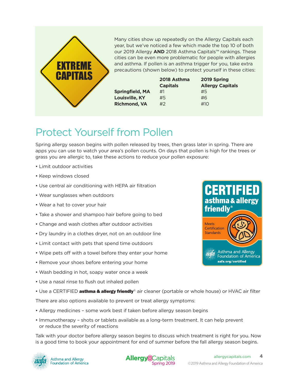

## Protect Yourself from Pollen

Spring allergy season begins with pollen released by trees, then grass later in spring. There are apps you can use to watch your area's pollen counts. On days that pollen is high for the trees or grass you are allergic to, take these actions to reduce your pollen exposure:

- Limit outdoor activities
- Keep windows closed
- Use central air conditioning with HEPA air filtration
- Wear sunglasses when outdoors
- Wear a hat to cover your hair
- Take a shower and shampoo hair before going to bed
- Change and wash clothes after outdoor activities
- Dry laundry in a clothes dryer, not on an outdoor line
- Limit contact with pets that spend time outdoors
- Wipe pets off with a towel before they enter your home
- Remove your shoes before entering your home
- Wash bedding in hot, soapy water once a week
- Use a nasal rinse to flush out inhaled pollen
- Use a CERTIFIED **asthma & allergy friendly**® air cleaner (portable or whole house) or HVAC air filter

There are also options available to prevent or treat allergy symptoms:

- Allergy medicines some work best if taken before allergy season begins
- Immunotherapy shots or tablets available as a long-term treatment. It can help prevent or reduce the severity of reactions

Talk with your doctor before allergy season begins to discuss which treatment is right for you. Now is a good time to book your appointment for end of summer before the fall allergy season begins.





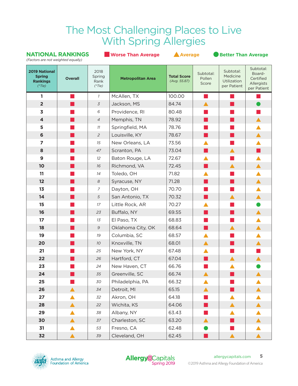## The Most Challenging Places to Live With Spring Allergies

**NATIONAL RANKINGS** ■ **Worse Than Average** ▲ **Average** ● **Better Than Average**

|                                                                          | (Factors are not weighted equally) |                                     |                          |                                    |                              |                                                     |                                                               |  |  |
|--------------------------------------------------------------------------|------------------------------------|-------------------------------------|--------------------------|------------------------------------|------------------------------|-----------------------------------------------------|---------------------------------------------------------------|--|--|
| <b>2019 National</b><br><b>Spring</b><br><b>Rankings</b><br>$(*$ Tie $)$ | <b>Overall</b>                     | 2018<br>Spring<br>Rank<br>$(*$ Tie) | <b>Metropolitan Area</b> | <b>Total Score</b><br>(Avg. 55.87) | Subtotal:<br>Pollen<br>Score | Subtotal:<br>Medicine<br>Utilization<br>per Patient | Subtotal:<br>Board-<br>Certified<br>Allergists<br>per Patient |  |  |
| 1                                                                        |                                    | $\mathcal{I}$                       | McAllen, TX              | 100.00                             |                              |                                                     |                                                               |  |  |
| $\overline{2}$                                                           |                                    | $\overline{3}$                      | Jackson, MS              | 84.74                              | ▲                            |                                                     |                                                               |  |  |
| $\overline{\mathbf{3}}$                                                  |                                    | 6                                   | Providence, RI           | 80.48                              |                              |                                                     |                                                               |  |  |
| $\overline{\mathbf{4}}$                                                  |                                    | $\overline{4}$                      | Memphis, TN              | 78.92                              |                              |                                                     |                                                               |  |  |
| 5                                                                        |                                    | 11                                  | Springfield, MA          | 78.76                              |                              |                                                     |                                                               |  |  |
| 6                                                                        |                                    | $\overline{2}$                      | Louisville, KY           | 78.67                              | ш                            |                                                     | ▲                                                             |  |  |
| $\overline{ }$                                                           |                                    | 15                                  | New Orleans, LA          | 73.56                              |                              |                                                     |                                                               |  |  |
| 8                                                                        |                                    | 47                                  | Scranton, PA             | 73.04                              | . .                          | ▲                                                   | ٠                                                             |  |  |
| $\mathbf{9}$                                                             |                                    | $12 \,$                             | Baton Rouge, LA          | 72.67                              | ▲                            |                                                     |                                                               |  |  |
| 10                                                                       |                                    | 16                                  | Richmond, VA             | 72.45                              | a a                          | ▲                                                   |                                                               |  |  |
| 11                                                                       |                                    | 14                                  | Toledo, OH               | 71.82                              |                              |                                                     |                                                               |  |  |
| 12                                                                       |                                    | $\boldsymbol{\mathcal{S}}$          | Syracuse, NY             | 71.28                              |                              |                                                     | ▲                                                             |  |  |
| 13                                                                       |                                    | 7                                   | Dayton, OH               | 70.70                              |                              |                                                     |                                                               |  |  |
| 14                                                                       |                                    | 5                                   | San Antonio, TX          | 70.32                              | ш                            | ▲                                                   |                                                               |  |  |
| 15                                                                       |                                    | 17                                  | Little Rock, AR          | 70.27                              | ▲                            |                                                     |                                                               |  |  |
| 16                                                                       |                                    | 23                                  | Buffalo, NY              | 69.55                              | ٠                            |                                                     | ▲                                                             |  |  |
| 17                                                                       |                                    | 13                                  | El Paso, TX              | 68.83                              |                              |                                                     |                                                               |  |  |
| 18                                                                       |                                    | $\mathcal{G}% _{0}$                 | Oklahoma City, OK        | 68.64                              | ٠                            | ▲                                                   |                                                               |  |  |
| 19                                                                       |                                    | 19                                  | Columbia, SC             | 68.57                              | ▲                            |                                                     |                                                               |  |  |
| 20                                                                       |                                    | 10 <sup>2</sup>                     | Knoxville, TN            | 68.01                              | $\blacktriangle$             |                                                     |                                                               |  |  |
| 21                                                                       |                                    | 25                                  | New York, NY             | 67.48                              | ▲                            |                                                     |                                                               |  |  |
| 22                                                                       |                                    | 26                                  | Hartford, CT             | 67.04                              |                              | ▲                                                   |                                                               |  |  |
| 23                                                                       |                                    | 24                                  | New Haven, CT            | 66.76                              |                              |                                                     |                                                               |  |  |
| 24                                                                       |                                    | 35                                  | Greenville, SC           | 66.74                              |                              |                                                     |                                                               |  |  |
| 25                                                                       |                                    | 30                                  | Philadelphia, PA         | 66.32                              | ▲                            |                                                     |                                                               |  |  |
| 26                                                                       | ▲                                  | 34                                  | Detroit, MI              | 65.15                              | $\blacktriangle$             |                                                     | ▲                                                             |  |  |
| 27                                                                       |                                    | 32                                  | Akron, OH                | 64.18                              |                              |                                                     |                                                               |  |  |
| 28                                                                       |                                    | 22                                  | Wichita, KS              | 64.06                              | ш                            | $\blacktriangle$                                    |                                                               |  |  |
| 29                                                                       |                                    | 38                                  | Albany, NY               | 63.43                              |                              |                                                     |                                                               |  |  |
| 30                                                                       | ▲                                  | 37                                  | Charleston, SC           | 63.20                              | $\blacktriangle$             | a a                                                 | ▲                                                             |  |  |
| 31                                                                       |                                    | 53                                  | Fresno, CA               | 62.48                              |                              |                                                     |                                                               |  |  |
| 32                                                                       |                                    | 39                                  | Cleveland, OH            | 62.45                              |                              |                                                     |                                                               |  |  |



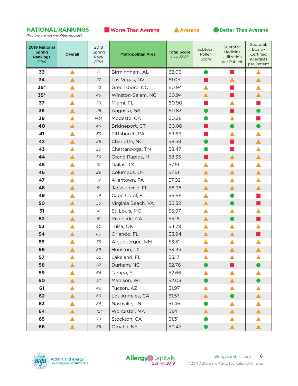

*(Factors are not weighted equally)*

| <b>2019 National</b><br><b>Spring</b><br><b>Rankings</b><br>$(*$ Tie) | <b>Overall</b>   | 2018<br>Spring<br>Rank<br>$(*$ Tie) | <b>Metropolitan Area</b> | <b>Total Score</b><br>(Avg. 55.87) | Subtotal:<br>Pollen<br>Score | Subtotal:<br>Medicine<br>Utilization<br>per Patient | Subtotal:<br>Board-<br>Certified<br>Allergists<br>per Patient |
|-----------------------------------------------------------------------|------------------|-------------------------------------|--------------------------|------------------------------------|------------------------------|-----------------------------------------------------|---------------------------------------------------------------|
| 33                                                                    | $\blacktriangle$ | 21                                  | Birmingham, AL           | 62.03                              | $\bullet$                    | m.                                                  |                                                               |
| 34                                                                    | ▲                | 27                                  | Las Vegas, NV            | 61.05                              |                              |                                                     | $\blacktriangle$                                              |
| $35*$                                                                 | ▲                | 43                                  | Greensboro, NC           | 60.94                              | ▲                            |                                                     | ▲                                                             |
| $35*$                                                                 | ▲                | 46                                  | Winston-Salem, NC        | 60.94                              | ▲                            |                                                     | $\blacktriangle$                                              |
| 37                                                                    |                  | 29                                  | Miami, FL                | 60.90                              |                              |                                                     |                                                               |
| 38                                                                    | ▲                | 45                                  | Augusta, GA              | 60.83                              |                              |                                                     |                                                               |
| 39                                                                    |                  | N/A                                 | Modesto, CA              | 60.28                              |                              | ▲                                                   |                                                               |
| 40                                                                    | ▲                | 48                                  | Bridgeport, CT           | 60.06                              | . .                          | D                                                   |                                                               |
| 41                                                                    |                  | 33                                  | Pittsburgh, PA           | 59.69                              |                              | ▲                                                   | ▲                                                             |
| 42                                                                    | ▲                | 56                                  | Charlotte, NC            | 58.59                              |                              |                                                     | $\blacktriangle$                                              |
| 43                                                                    |                  | 20                                  | Chattanooga, TN          | 58.47                              |                              |                                                     | ▲                                                             |
| 44                                                                    | ▲                | 36                                  | Grand Rapids, MI         | 58.35                              | . .                          | $\blacktriangle$                                    | $\blacktriangle$                                              |
| 45                                                                    |                  | 31                                  | Dallas, TX               | 57.61                              | ▲                            | ▲                                                   | ▲                                                             |
| 46                                                                    | Α                | 28                                  | Columbus, OH             | 57.51                              | $\blacktriangle$             | $\blacktriangle$                                    | $\blacktriangle$                                              |
| 47                                                                    |                  | 52                                  | Allentown, PA            | 57.02                              | $\blacktriangle$             | $\blacktriangle$                                    | $\blacktriangle$                                              |
| 48                                                                    | ▲                | 51                                  | Jacksonville, FL         | 56.98                              | ▲                            | ▲                                                   | $\blacktriangle$                                              |
| 49                                                                    |                  | 44                                  | Cape Coral, FL           | 56.66                              | ▲                            |                                                     |                                                               |
| 50                                                                    | ▲                | 50                                  | Virginia Beach, VA       | 56.32                              | $\blacktriangle$             |                                                     |                                                               |
| 51                                                                    |                  | 41                                  | St. Louis, MO            | 55.97                              | ▲                            | ▲                                                   |                                                               |
| 52                                                                    | ▲                | 61                                  | Riverside, CA            | 55.18                              | ▲                            |                                                     |                                                               |
| 53                                                                    |                  | 40                                  | Tulsa, OK                | 54.79                              | ▲                            | ▲                                                   |                                                               |
| 54                                                                    |                  | 60                                  | Orlando, FL              | 53.94                              | $\blacktriangle$             | $\blacktriangle$                                    |                                                               |
| 55                                                                    |                  | 55                                  | Albuquerque, NM          | 53.51                              | ▲                            |                                                     |                                                               |
| 56                                                                    | ▲                | 59                                  | Houston, TX              | 53.49                              | ▲                            | ▲                                                   | ▲                                                             |
| 57                                                                    |                  | 62                                  | Lakeland, FL             | 53.17                              |                              |                                                     |                                                               |
| 58                                                                    |                  | 67                                  | Durham, NC               | 52.76                              |                              |                                                     |                                                               |
| 59                                                                    |                  | 64                                  | Tampa, FL                | 52.66                              | ▲                            | ▲                                                   |                                                               |
| 60                                                                    | ▲                | 57                                  | Madison, WI              | 52.03                              |                              | $\blacktriangle$                                    |                                                               |
| 61                                                                    |                  | 42                                  | Tucson, AZ               | 51.97                              |                              |                                                     |                                                               |
| 62                                                                    |                  | 66                                  | Los Angeles, CA          | 51.57                              | ▲                            |                                                     | $\blacktriangle$                                              |
| 63                                                                    |                  | 54                                  | Nashville, TN            | 51.46                              |                              | ▲                                                   |                                                               |
| 64                                                                    |                  | $72*$                               | Worcester, MA            | 51.41                              | ▲                            | $\blacktriangle$                                    |                                                               |
| 65                                                                    |                  | 79                                  | Stockton, CA             | 51.31                              |                              |                                                     |                                                               |
| 66                                                                    |                  | 58                                  | Omaha, NE                | 50.47                              |                              |                                                     |                                                               |



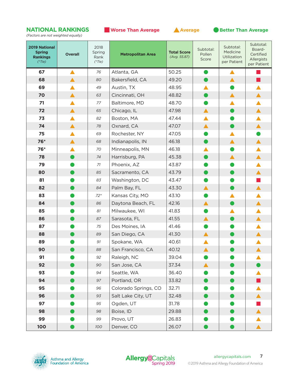**NATIONAL RANKINGS** ■ **Worse Than Average** ▲ **Average** ● **Better Than Average**

*(Factors are not weighted equally)*

| <b>2019 National</b><br><b>Spring</b><br><b>Rankings</b><br>$(*$ Tie) | <b>Overall</b> | 2018<br>Spring<br>Rank<br>$(*$ Tie) | <b>Metropolitan Area</b> | <b>Total Score</b><br>(Avg. 55.87) | Subtotal:<br>Pollen<br>Score | Subtotal:<br>Medicine<br>Utilization<br>per Patient | Subtotal:<br>Board-<br>Certified<br>Allergists<br>per Patient |
|-----------------------------------------------------------------------|----------------|-------------------------------------|--------------------------|------------------------------------|------------------------------|-----------------------------------------------------|---------------------------------------------------------------|
| 67                                                                    | ▲              | 76                                  | Atlanta, GA              | 50.25                              | ●                            | ▲                                                   |                                                               |
| 68                                                                    | ▲              | 80                                  | Bakersfield, CA          | 49.20                              |                              | ▲                                                   |                                                               |
| 69                                                                    |                | 49                                  | Austin, TX               | 48.95                              |                              |                                                     |                                                               |
| 70                                                                    |                | 63                                  | Cincinnati, OH           | 48.82                              |                              | $\blacktriangle$                                    |                                                               |
| 71                                                                    |                | 77                                  | Baltimore, MD            | 48.70                              |                              |                                                     |                                                               |
| 72                                                                    | ▲              | 65                                  | Chicago, IL              | 47.98                              | $\blacktriangle$             |                                                     | $\blacktriangle$                                              |
| 73                                                                    |                | 82                                  | Boston, MA               | 47.44                              | ▲                            |                                                     |                                                               |
| 74                                                                    | ▲              | 78                                  | Oxnard, CA               | 47.07                              | $\blacktriangle$             |                                                     |                                                               |
| 75                                                                    |                | 69                                  | Rochester, NY            | 47.05                              |                              | ▲                                                   |                                                               |
| 76*                                                                   | ▲              | 68                                  | Indianapolis, IN         | 46.18                              |                              | ▲                                                   | ▲                                                             |
| 76*                                                                   |                | 70                                  | Minneapolis, MN          | 46.18                              |                              |                                                     |                                                               |
| 78                                                                    |                | 74                                  | Harrisburg, PA           | 45.38                              |                              | $\blacktriangle$                                    |                                                               |
| 79                                                                    |                | 71                                  | Phoenix, AZ              | 43.87                              |                              |                                                     |                                                               |
| 80                                                                    |                | 85                                  | Sacramento, CA           | 43.79                              |                              |                                                     |                                                               |
| 81                                                                    |                | 83                                  | Washington, DC           | 43.47                              |                              |                                                     |                                                               |
| 82                                                                    |                | 84                                  | Palm Bay, FL             | 43.30                              | ▲                            |                                                     |                                                               |
| 83                                                                    |                | $72*$                               | Kansas City, MO          | 43.10                              |                              |                                                     |                                                               |
| 84                                                                    |                | 86                                  | Daytona Beach, FL        | 42.16                              | $\blacktriangle$             |                                                     |                                                               |
| 85                                                                    |                | 81                                  | Milwaukee, WI            | 41.83                              |                              |                                                     |                                                               |
| 86                                                                    |                | 87                                  | Sarasota, FL             | 41.55                              | ▲                            |                                                     |                                                               |
| 87                                                                    |                | 75                                  | Des Moines, IA           | 41.46                              |                              |                                                     |                                                               |
| 88                                                                    |                | 89                                  | San Diego, CA            | 41.30                              | $\blacktriangle$             |                                                     |                                                               |
| 89                                                                    |                | 91                                  | Spokane, WA              | 40.61                              |                              |                                                     |                                                               |
| 90                                                                    |                | 88                                  | San Francisco, CA        | 40.12                              |                              |                                                     |                                                               |
| 91                                                                    |                | 92                                  | Raleigh, NC              | 39.04                              |                              |                                                     |                                                               |
| 92                                                                    |                | 90                                  | San Jose, CA             | 37.34                              | $\blacktriangle$             |                                                     |                                                               |
| 93                                                                    |                | 94                                  | Seattle, WA              | 36.40                              |                              |                                                     |                                                               |
| 94                                                                    |                | 97                                  | Portland, OR             | 33.82                              |                              |                                                     |                                                               |
| 95                                                                    |                | 96                                  | Colorado Springs, CO     | 32.71                              |                              |                                                     |                                                               |
| 96                                                                    |                | 93                                  | Salt Lake City, UT       | 32.48                              |                              |                                                     |                                                               |
| 97                                                                    |                | 95                                  | Ogden, UT                | 31.78                              |                              |                                                     |                                                               |
| 98                                                                    |                | 98                                  | Boise, ID                | 29.88                              |                              |                                                     |                                                               |
| 99                                                                    |                | 99                                  | Provo, UT                | 26.83                              |                              |                                                     |                                                               |
| 100                                                                   |                | 100                                 | Denver, CO               | 26.07                              |                              |                                                     |                                                               |



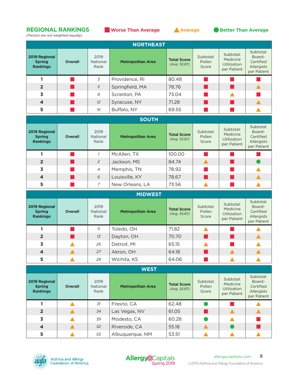### **REGIONAL RANKINGS** ■ **Worse Than Average** ▲ **Average** ● **Better Than Average**

*(Factors are not weighted equally)*



| <b>NORTHEAST</b>                                  |                |                          |                          |                                    |                              |                                                     |                                                               |  |  |
|---------------------------------------------------|----------------|--------------------------|--------------------------|------------------------------------|------------------------------|-----------------------------------------------------|---------------------------------------------------------------|--|--|
| 2019 Regional<br><b>Spring</b><br><b>Rankings</b> | <b>Overall</b> | 2019<br>National<br>Rank | <b>Metropolitan Area</b> | <b>Total Score</b><br>(Avg. 55.87) | Subtotal:<br>Pollen<br>Score | Subtotal:<br>Medicine<br>Utilization<br>per Patient | Subtotal:<br>Board-<br>Certified<br>Allergists<br>per Patient |  |  |
|                                                   |                | 3                        | Providence, RI           | 80.48                              |                              |                                                     |                                                               |  |  |
| $\overline{2}$                                    |                | 5                        | Springfield, MA          | 78.76                              |                              |                                                     |                                                               |  |  |
| 3                                                 |                | 8                        | Scranton, PA             | 73.04                              |                              |                                                     |                                                               |  |  |
| $\overline{\mathbf{4}}$                           |                | 12                       | Syracuse, NY             | 71.28                              |                              |                                                     |                                                               |  |  |
| 5                                                 |                | 16                       | Buffalo, NY              | 69.55                              |                              |                                                     |                                                               |  |  |

| <b>SOUTH</b>                                      |                |                          |                          |                                    |                              |                                                     |                                                               |  |  |
|---------------------------------------------------|----------------|--------------------------|--------------------------|------------------------------------|------------------------------|-----------------------------------------------------|---------------------------------------------------------------|--|--|
| 2019 Regional<br><b>Spring</b><br><b>Rankings</b> | <b>Overall</b> | 2019<br>National<br>Rank | <b>Metropolitan Area</b> | <b>Total Score</b><br>(Avg. 55.87) | Subtotal:<br>Pollen<br>Score | Subtotal:<br>Medicine<br>Utilization<br>per Patient | Subtotal:<br>Board-<br>Certified<br>Allergists<br>per Patient |  |  |
|                                                   |                |                          | McAllen, TX              | 100.00                             |                              |                                                     |                                                               |  |  |
| $\overline{2}$                                    |                | 2                        | Jackson, MS              | 84.74                              |                              |                                                     |                                                               |  |  |
| $\overline{3}$                                    |                | $\overline{4}$           | Memphis, TN              | 78.92                              |                              |                                                     |                                                               |  |  |
| $\overline{\mathbf{4}}$                           |                | 6                        | Louisville, KY           | 78.67                              |                              |                                                     |                                                               |  |  |
| 5                                                 |                | 7                        | New Orleans, LA          | 73.56                              |                              |                                                     |                                                               |  |  |

| <b>MIDWEST</b>                                    |                |                          |                          |                                    |                              |                                                            |                                                               |  |  |
|---------------------------------------------------|----------------|--------------------------|--------------------------|------------------------------------|------------------------------|------------------------------------------------------------|---------------------------------------------------------------|--|--|
| 2019 Regional<br><b>Spring</b><br><b>Rankings</b> | <b>Overall</b> | 2019<br>National<br>Rank | <b>Metropolitan Area</b> | <b>Total Score</b><br>(Avg. 55.87) | Subtotal:<br>Pollen<br>Score | Subtotal:<br>Medicine<br><b>Utilization</b><br>per Patient | Subtotal:<br>Board-<br>Certified<br>Allergists<br>per Patient |  |  |
|                                                   |                | 11                       | Toledo, OH               | 71.82                              |                              |                                                            |                                                               |  |  |
| $\overline{2}$                                    |                | 13                       | Dayton, OH               | 70.70                              |                              |                                                            |                                                               |  |  |
| 3                                                 |                | 26                       | Detroit, MI              | 65.15                              |                              |                                                            |                                                               |  |  |
| $\overline{4}$                                    |                | 27                       | Akron, OH                | 64.18                              |                              |                                                            |                                                               |  |  |
| 5                                                 |                | 28                       | Wichita, KS              | 64.06                              |                              |                                                            |                                                               |  |  |

| 7 T |  |  |
|-----|--|--|
|     |  |  |
|     |  |  |

| 2019 Regional<br><b>Spring</b><br><b>Rankings</b> | <b>Overall</b> | 2019<br><b>National</b><br>Rank | <b>Metropolitan Area</b> | <b>Total Score</b><br>(Avg. 55.87) | Subtotal:<br>Pollen<br>Score | Subtotal:<br>Medicine<br>Utilization<br>per Patient | Subtotal:<br>Board-<br>Certified<br>Allergists<br>per Patient |
|---------------------------------------------------|----------------|---------------------------------|--------------------------|------------------------------------|------------------------------|-----------------------------------------------------|---------------------------------------------------------------|
|                                                   |                | 31                              | Fresno, CA               | 62.48                              |                              |                                                     |                                                               |
| $\overline{2}$                                    |                | 34                              | Las Vegas, NV            | 61.05                              |                              |                                                     |                                                               |
| 3                                                 |                | 39                              | Modesto, CA              | 60.28                              |                              |                                                     |                                                               |
| $\overline{\mathbf{4}}$                           |                | 52                              | Riverside, CA            | 55.18                              |                              |                                                     |                                                               |
| 5                                                 |                | 55                              | Albuguergue, NM          | 53.51                              |                              |                                                     |                                                               |